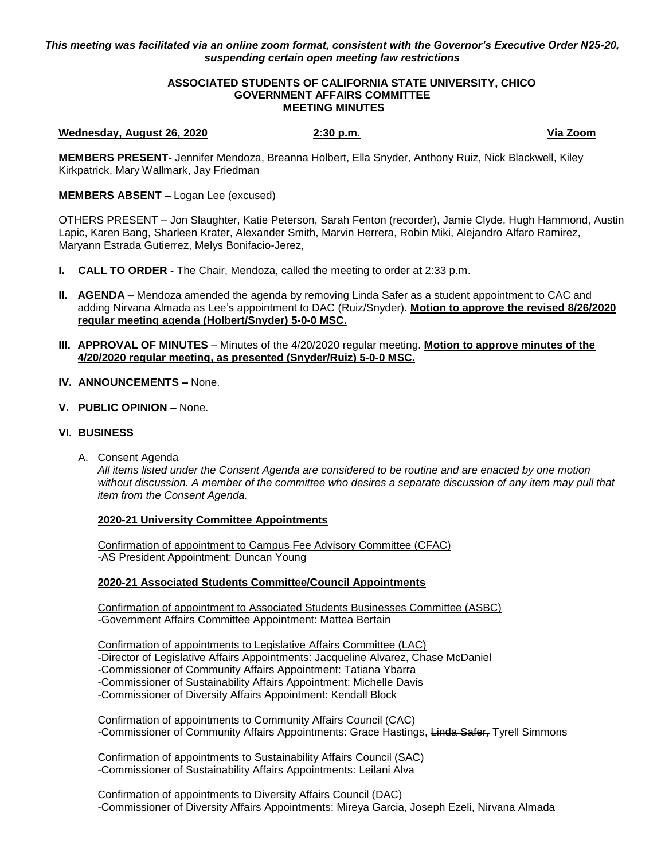# *This meeting was facilitated via an online zoom format, consistent with the Governor's Executive Order N25-20, suspending certain open meeting law restrictions*

### **ASSOCIATED STUDENTS OF CALIFORNIA STATE UNIVERSITY, CHICO GOVERNMENT AFFAIRS COMMITTEE MEETING MINUTES**

### **Wednesday, August 26, 2020 2:30 p.m. Via Zoom**

**MEMBERS PRESENT-** Jennifer Mendoza, Breanna Holbert, Ella Snyder, Anthony Ruiz, Nick Blackwell, Kiley Kirkpatrick, Mary Wallmark, Jay Friedman

# **MEMBERS ABSENT –** Logan Lee (excused)

OTHERS PRESENT – Jon Slaughter, Katie Peterson, Sarah Fenton (recorder), Jamie Clyde, Hugh Hammond, Austin Lapic, Karen Bang, Sharleen Krater, Alexander Smith, Marvin Herrera, Robin Miki, Alejandro Alfaro Ramirez, Maryann Estrada Gutierrez, Melys Bonifacio-Jerez,

- **I. CALL TO ORDER -** The Chair, Mendoza, called the meeting to order at 2:33 p.m.
- **II. AGENDA –** Mendoza amended the agenda by removing Linda Safer as a student appointment to CAC and adding Nirvana Almada as Lee's appointment to DAC (Ruiz/Snyder). **Motion to approve the revised 8/26/2020 regular meeting agenda (Holbert/Snyder) 5-0-0 MSC.**
- **III. APPROVAL OF MINUTES** Minutes of the 4/20/2020 regular meeting. **Motion to approve minutes of the 4/20/2020 regular meeting, as presented (Snyder/Ruiz) 5-0-0 MSC.**
- **IV. ANNOUNCEMENTS –** None.
- **V. PUBLIC OPINION –** None.

## **VI. BUSINESS**

A. Consent Agenda

*All items listed under the Consent Agenda are considered to be routine and are enacted by one motion without discussion. A member of the committee who desires a separate discussion of any item may pull that item from the Consent Agenda.* 

## **2020-21 University Committee Appointments**

Confirmation of appointment to Campus Fee Advisory Committee (CFAC) -AS President Appointment: Duncan Young

## **2020-21 Associated Students Committee/Council Appointments**

Confirmation of appointment to Associated Students Businesses Committee (ASBC) -Government Affairs Committee Appointment: Mattea Bertain

Confirmation of appointments to Legislative Affairs Committee (LAC) -Director of Legislative Affairs Appointments: Jacqueline Alvarez, Chase McDaniel -Commissioner of Community Affairs Appointment: Tatiana Ybarra -Commissioner of Sustainability Affairs Appointment: Michelle Davis -Commissioner of Diversity Affairs Appointment: Kendall Block

Confirmation of appointments to Community Affairs Council (CAC) -Commissioner of Community Affairs Appointments: Grace Hastings, Linda Safer, Tyrell Simmons

Confirmation of appointments to Sustainability Affairs Council (SAC) -Commissioner of Sustainability Affairs Appointments: Leilani Alva

Confirmation of appointments to Diversity Affairs Council (DAC) -Commissioner of Diversity Affairs Appointments: Mireya Garcia, Joseph Ezeli, Nirvana Almada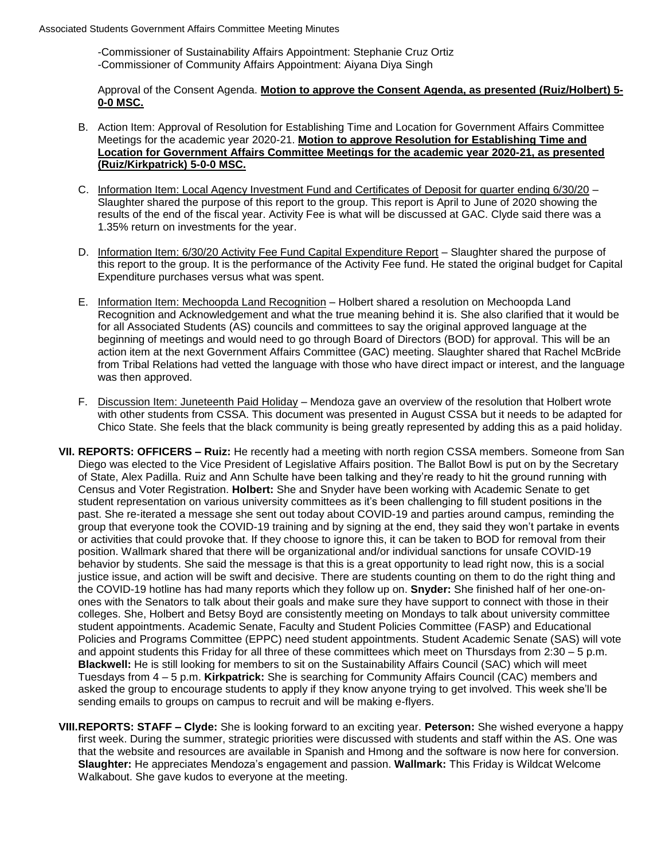-Commissioner of Sustainability Affairs Appointment: Stephanie Cruz Ortiz -Commissioner of Community Affairs Appointment: Aiyana Diya Singh

Approval of the Consent Agenda. **Motion to approve the Consent Agenda, as presented (Ruiz/Holbert) 5- 0-0 MSC.** 

- B. Action Item: Approval of Resolution for Establishing Time and Location for Government Affairs Committee Meetings for the academic year 2020-21. **Motion to approve Resolution for Establishing Time and Location for Government Affairs Committee Meetings for the academic year 2020-21, as presented (Ruiz/Kirkpatrick) 5-0-0 MSC.**
- C. Information Item: Local Agency Investment Fund and Certificates of Deposit for quarter ending 6/30/20 Slaughter shared the purpose of this report to the group. This report is April to June of 2020 showing the results of the end of the fiscal year. Activity Fee is what will be discussed at GAC. Clyde said there was a 1.35% return on investments for the year.
- D. Information Item: 6/30/20 Activity Fee Fund Capital Expenditure Report Slaughter shared the purpose of this report to the group. It is the performance of the Activity Fee fund. He stated the original budget for Capital Expenditure purchases versus what was spent.
- E. Information Item: Mechoopda Land Recognition Holbert shared a resolution on Mechoopda Land Recognition and Acknowledgement and what the true meaning behind it is. She also clarified that it would be for all Associated Students (AS) councils and committees to say the original approved language at the beginning of meetings and would need to go through Board of Directors (BOD) for approval. This will be an action item at the next Government Affairs Committee (GAC) meeting. Slaughter shared that Rachel McBride from Tribal Relations had vetted the language with those who have direct impact or interest, and the language was then approved.
- F. Discussion Item: Juneteenth Paid Holiday Mendoza gave an overview of the resolution that Holbert wrote with other students from CSSA. This document was presented in August CSSA but it needs to be adapted for Chico State. She feels that the black community is being greatly represented by adding this as a paid holiday.
- **VII. REPORTS: OFFICERS – Ruiz:** He recently had a meeting with north region CSSA members. Someone from San Diego was elected to the Vice President of Legislative Affairs position. The Ballot Bowl is put on by the Secretary of State, Alex Padilla. Ruiz and Ann Schulte have been talking and they're ready to hit the ground running with Census and Voter Registration. **Holbert:** She and Snyder have been working with Academic Senate to get student representation on various university committees as it's been challenging to fill student positions in the past. She re-iterated a message she sent out today about COVID-19 and parties around campus, reminding the group that everyone took the COVID-19 training and by signing at the end, they said they won't partake in events or activities that could provoke that. If they choose to ignore this, it can be taken to BOD for removal from their position. Wallmark shared that there will be organizational and/or individual sanctions for unsafe COVID-19 behavior by students. She said the message is that this is a great opportunity to lead right now, this is a social justice issue, and action will be swift and decisive. There are students counting on them to do the right thing and the COVID-19 hotline has had many reports which they follow up on. **Snyder:** She finished half of her one-onones with the Senators to talk about their goals and make sure they have support to connect with those in their colleges. She, Holbert and Betsy Boyd are consistently meeting on Mondays to talk about university committee student appointments. Academic Senate, Faculty and Student Policies Committee (FASP) and Educational Policies and Programs Committee (EPPC) need student appointments. Student Academic Senate (SAS) will vote and appoint students this Friday for all three of these committees which meet on Thursdays from 2:30 – 5 p.m. **Blackwell:** He is still looking for members to sit on the Sustainability Affairs Council (SAC) which will meet Tuesdays from 4 – 5 p.m. **Kirkpatrick:** She is searching for Community Affairs Council (CAC) members and asked the group to encourage students to apply if they know anyone trying to get involved. This week she'll be sending emails to groups on campus to recruit and will be making e-flyers.
- **VIII.REPORTS: STAFF – Clyde:** She is looking forward to an exciting year. **Peterson:** She wished everyone a happy first week. During the summer, strategic priorities were discussed with students and staff within the AS. One was that the website and resources are available in Spanish and Hmong and the software is now here for conversion. **Slaughter:** He appreciates Mendoza's engagement and passion. **Wallmark:** This Friday is Wildcat Welcome Walkabout. She gave kudos to everyone at the meeting.